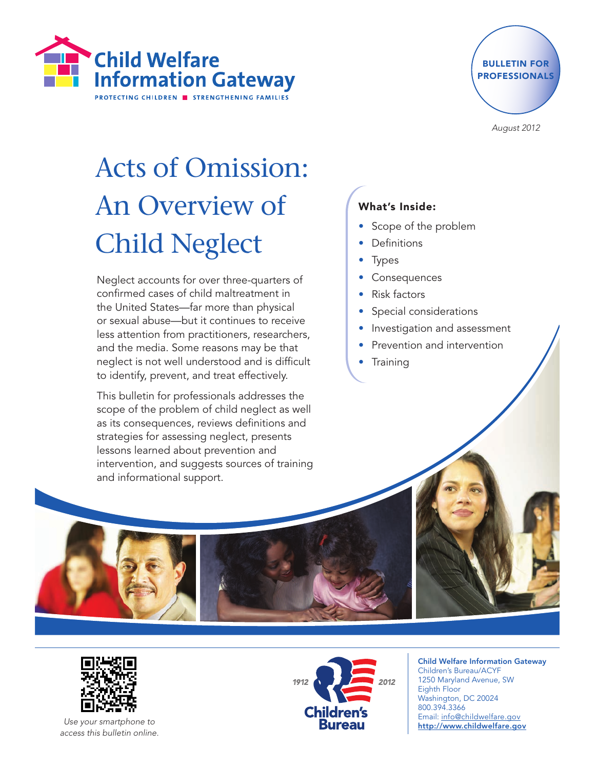



August 2012

# Acts of Omission: An Overview of Child Neglect

Neglect accounts for over three-quarters of confirmed cases of child maltreatment in the United States—far more than physical or sexual abuse—but it continues to receive less attention from practitioners, researchers, and the media. Some reasons may be that neglect is not well understood and is difficult to identify, prevent, and treat effectively.

This bulletin for professionals addresses the scope of the problem of child neglect as well as its consequences, reviews definitions and strategies for assessing neglect, presents lessons learned about prevention and intervention, and suggests sources of training and informational support.

#### What's Inside:

- Scope of the problem
- Definitions
- **Types**
- **Consequences**
- Risk factors
- Special considerations
- Investigation and assessment
- Prevention and intervention
- **Training**



access this bulletin online.



Child Welfare Information Gateway Children's Bureau/ACYF 1250 Maryland Avenue, SW Eighth Floor Washington, DC 20024 800.394.3366 Email: info@childwelfare.gov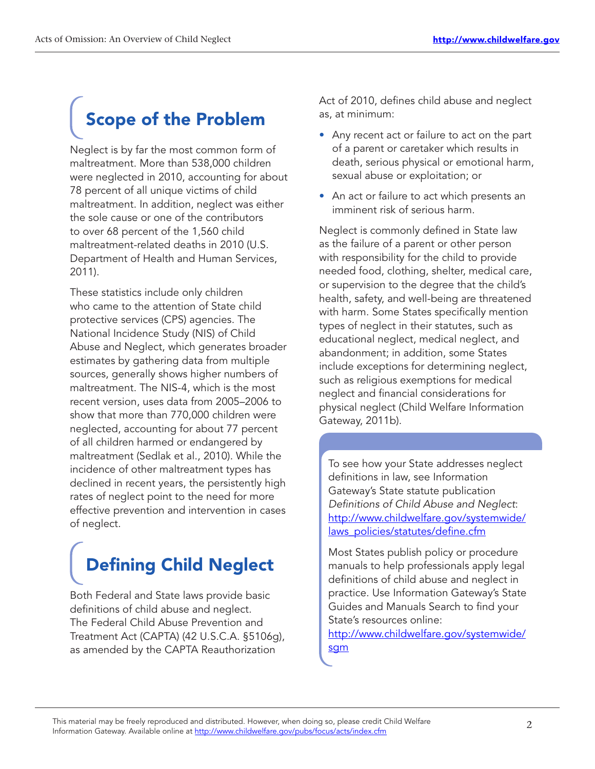# Scope of the Problem

Neglect is by far the most common form of maltreatment. More than 538,000 children were neglected in 2010, accounting for about 78 percent of all unique victims of child maltreatment. In addition, neglect was either the sole cause or one of the contributors to over 68 percent of the 1,560 child maltreatment-related deaths in 2010 (U.S. Department of Health and Human Services, 2011).

These statistics include only children who came to the attention of State child protective services (CPS) agencies. The National Incidence Study (NIS) of Child Abuse and Neglect, which generates broader estimates by gathering data from multiple sources, generally shows higher numbers of maltreatment. The NIS-4, which is the most recent version, uses data from 2005–2006 to show that more than 770,000 children were neglected, accounting for about 77 percent of all children harmed or endangered by maltreatment (Sedlak et al., 2010). While the incidence of other maltreatment types has declined in recent years, the persistently high rates of neglect point to the need for more effective prevention and intervention in cases of neglect.

## Defining Child Neglect

Both Federal and State laws provide basic definitions of child abuse and neglect. The Federal Child Abuse Prevention and Treatment Act (CAPTA) (42 U.S.C.A. §5106g), as amended by the CAPTA Reauthorization

Act of 2010, defines child abuse and neglect as, at minimum:

- Any recent act or failure to act on the part of a parent or caretaker which results in death, serious physical or emotional harm, sexual abuse or exploitation; or
- An act or failure to act which presents an imminent risk of serious harm.

Neglect is commonly defined in State law as the failure of a parent or other person with responsibility for the child to provide needed food, clothing, shelter, medical care, or supervision to the degree that the child's health, safety, and well-being are threatened with harm. Some States specifically mention types of neglect in their statutes, such as educational neglect, medical neglect, and abandonment; in addition, some States include exceptions for determining neglect, such as religious exemptions for medical neglect and financial considerations for physical neglect (Child Welfare Information Gateway, 2011b).

To see how your State addresses neglect definitions in law, see Information Gateway's State statute publication Definitions of Child Abuse and Neglect: [http://www.childwelfare.gov/systemwide/](http://www.childwelfare.gov/systemwide/laws_policies/statutes/define.cfm) [laws\\_policies/statutes/define.cfm](http://www.childwelfare.gov/systemwide/laws_policies/statutes/define.cfm)

Most States publish policy or procedure manuals to help professionals apply legal definitions of child abuse and neglect in practice. Use Information Gateway's State Guides and Manuals Search to find your State's resources online: [http://www.childwelfare.gov/systemwide/](http://www.childwelfare.gov/systemwide/sgm)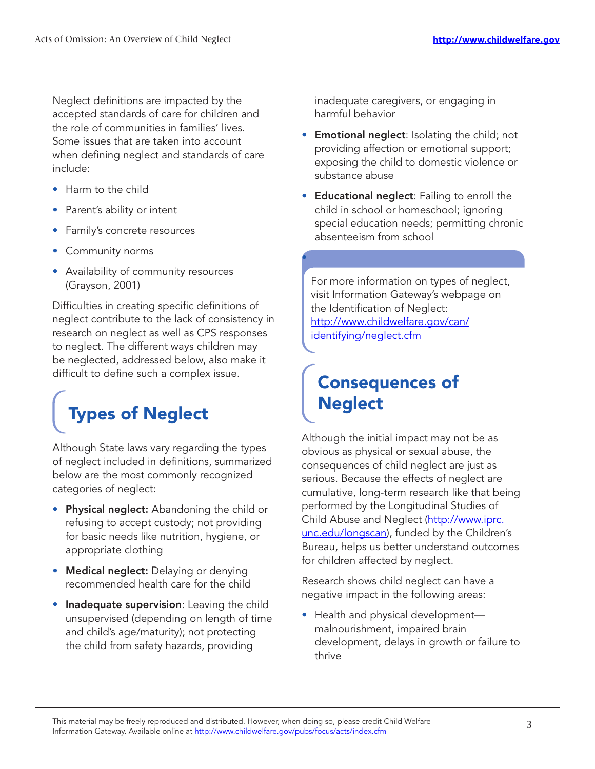Neglect definitions are impacted by the accepted standards of care for children and the role of communities in families' lives. Some issues that are taken into account when defining neglect and standards of care include:

- Harm to the child
- Parent's ability or intent
- Family's concrete resources
- Community norms
- Availability of community resources (Grayson, 2001)

Difficulties in creating specific definitions of neglect contribute to the lack of consistency in research on neglect as well as CPS responses to neglect. The different ways children may be neglected, addressed below, also make it difficult to define such a complex issue.

## Types of Neglect

Although State laws vary regarding the types of neglect included in definitions, summarized below are the most commonly recognized categories of neglect:

- Physical neglect: Abandoning the child or refusing to accept custody; not providing for basic needs like nutrition, hygiene, or appropriate clothing
- Medical neglect: Delaying or denying recommended health care for the child
- Inadequate supervision: Leaving the child unsupervised (depending on length of time and child's age/maturity); not protecting the child from safety hazards, providing

inadequate caregivers, or engaging in harmful behavior

- Emotional neglect: Isolating the child; not providing affection or emotional support; exposing the child to domestic violence or substance abuse
- Educational neglect: Failing to enroll the child in school or homeschool; ignoring special education needs; permitting chronic absenteeism from school

For more information on types of neglect, visit Information Gateway's webpage on the Identification of Neglect: [http://www.childwelfare.gov/can/](http://www.childwelfare.gov/can/identifying/neglect.cfm) [identifying/neglect.cfm](http://www.childwelfare.gov/can/identifying/neglect.cfm)

### Consequences of **Neglect**

•

Although the initial impact may not be as obvious as physical or sexual abuse, the consequences of child neglect are just as serious. Because the effects of neglect are cumulative, long-term research like that being performed by the Longitudinal Studies of Child Abuse and Neglect [\(http://www.iprc.](http://www.iprc.unc.edu/longscan) [unc.edu/longscan\)](http://www.iprc.unc.edu/longscan), funded by the Children's Bureau, helps us better understand outcomes for children affected by neglect.

Research shows child neglect can have a negative impact in the following areas:

• Health and physical development malnourishment, impaired brain development, delays in growth or failure to thrive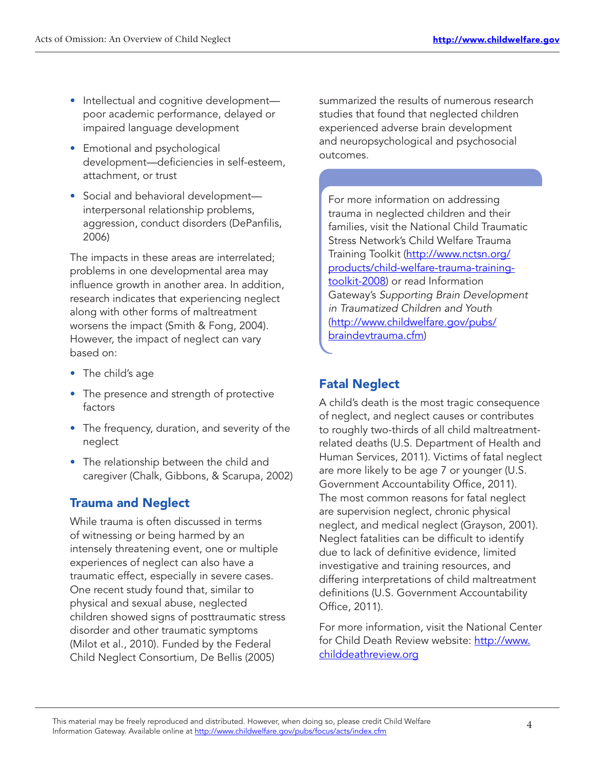- Intellectual and cognitive developmentpoor academic performance, delayed or impaired language development
- Emotional and psychological development—deficiencies in self-esteem, attachment, or trust
- Social and behavioral development interpersonal relationship problems, aggression, conduct disorders (DePanfilis, 2006)

The impacts in these areas are interrelated; problems in one developmental area may influence growth in another area. In addition, research indicates that experiencing neglect along with other forms of maltreatment worsens the impact (Smith & Fong, 2004). However, the impact of neglect can vary based on:

- The child's age
- The presence and strength of protective factors
- The frequency, duration, and severity of the neglect
- The relationship between the child and caregiver (Chalk, Gibbons, & Scarupa, 2002)

#### Trauma and Neglect

While trauma is often discussed in terms of witnessing or being harmed by an intensely threatening event, one or multiple experiences of neglect can also have a traumatic effect, especially in severe cases. One recent study found that, similar to physical and sexual abuse, neglected children showed signs of posttraumatic stress disorder and other traumatic symptoms (Milot et al., 2010). Funded by the Federal Child Neglect Consortium, De Bellis (2005)

summarized the results of numerous research studies that found that neglected children experienced adverse brain development and neuropsychological and psychosocial outcomes.

For more information on addressing trauma in neglected children and their families, visit the National Child Traumatic Stress Network's Child Welfare Trauma Training Toolkit [\(http://www.nctsn.org/](http://www.nctsn.org/products/child-welfare-trauma-training-toolkit-2008) [products/child-welfare-trauma-training](http://www.nctsn.org/products/child-welfare-trauma-training-toolkit-2008)[toolkit-2008](http://www.nctsn.org/products/child-welfare-trauma-training-toolkit-2008)) or read Information Gateway's Supporting Brain Development in Traumatized Children and Youth ([http://www.childwelfare.gov/pubs/](http://www.childwelfare.gov/pubs/braindevtrauma.cfm) [braindevtrauma.cfm](http://www.childwelfare.gov/pubs/braindevtrauma.cfm))

#### Fatal Neglect

A child's death is the most tragic consequence of neglect, and neglect causes or contributes to roughly two-thirds of all child maltreatmentrelated deaths (U.S. Department of Health and Human Services, 2011). Victims of fatal neglect are more likely to be age 7 or younger (U.S. Government Accountability Office, 2011). The most common reasons for fatal neglect are supervision neglect, chronic physical neglect, and medical neglect (Grayson, 2001). Neglect fatalities can be difficult to identify due to lack of definitive evidence, limited investigative and training resources, and differing interpretations of child maltreatment definitions (U.S. Government Accountability Office, 2011).

For more information, visit the National Center for Child Death Review website: [http://www.](http://www.childdeathreview.org) [childdeathreview.org](http://www.childdeathreview.org)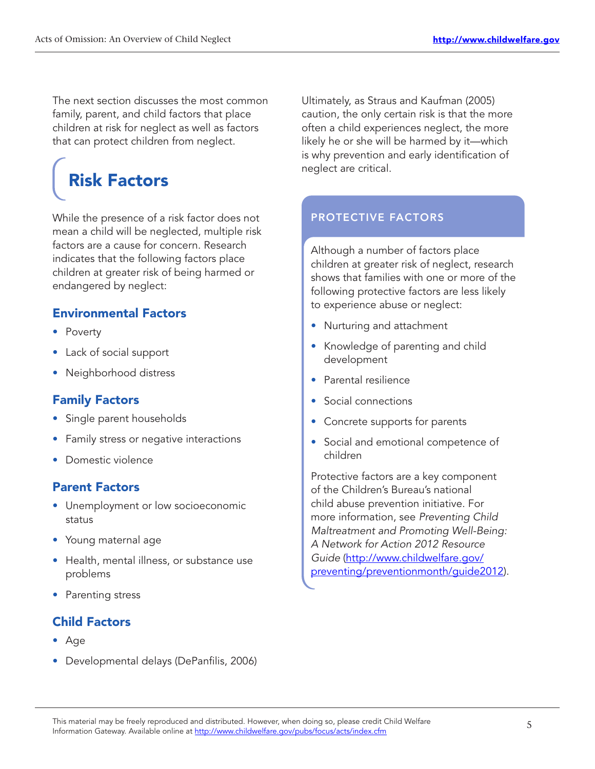The next section discusses the most common family, parent, and child factors that place children at risk for neglect as well as factors that can protect children from neglect.

## Risk Factors

While the presence of a risk factor does not mean a child will be neglected, multiple risk factors are a cause for concern. Research indicates that the following factors place children at greater risk of being harmed or endangered by neglect:

#### Environmental Factors

- Poverty
- Lack of social support
- Neighborhood distress

#### Family Factors

- Single parent households
- Family stress or negative interactions
- Domestic violence

#### Parent Factors

- Unemployment or low socioeconomic status
- Young maternal age
- Health, mental illness, or substance use problems
- Parenting stress

#### Child Factors

- Age
- Developmental delays (DePanfilis, 2006)

Ultimately, as Straus and Kaufman (2005) caution, the only certain risk is that the more often a child experiences neglect, the more likely he or she will be harmed by it—which is why prevention and early identification of neglect are critical.

#### PROTECTIVE FACTORS

Although a number of factors place children at greater risk of neglect, research shows that families with one or more of the following protective factors are less likely to experience abuse or neglect:

- Nurturing and attachment
- Knowledge of parenting and child development
- Parental resilience
- Social connections
- Concrete supports for parents
- Social and emotional competence of children

Protective factors are a key component of the Children's Bureau's national child abuse prevention initiative. For more information, see Preventing Child Maltreatment and Promoting Well-Being: A Network for Action 2012 Resource Guide [\(http://www.childwelfare.gov/](http://www.childwelfare.gov/preventing/preventionmonth/guide2012) [preventing/preventionmonth/guide2012](http://www.childwelfare.gov/preventing/preventionmonth/guide2012)).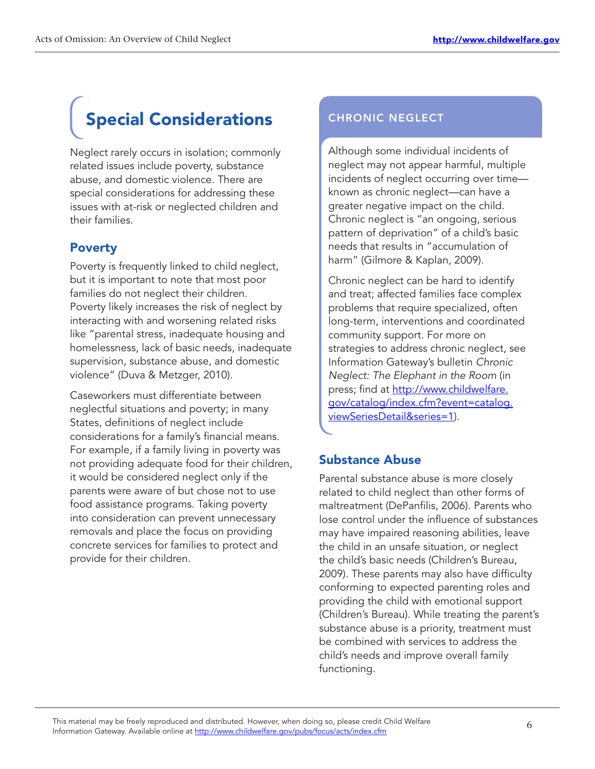# Special Considerations

Neglect rarely occurs in isolation; commonly related issues include poverty, substance abuse, and domestic violence. There are special considerations for addressing these issues with at-risk or neglected children and their families.

#### Poverty

Poverty is frequently linked to child neglect, but it is important to note that most poor families do not neglect their children. Poverty likely increases the risk of neglect by interacting with and worsening related risks like "parental stress, inadequate housing and homelessness, lack of basic needs, inadequate supervision, substance abuse, and domestic violence" (Duva & Metzger, 2010).

Caseworkers must differentiate between neglectful situations and poverty; in many States, definitions of neglect include considerations for a family's financial means. For example, if a family living in poverty was not providing adequate food for their children, it would be considered neglect only if the parents were aware of but chose not to use food assistance programs. Taking poverty into consideration can prevent unnecessary removals and place the focus on providing concrete services for families to protect and provide for their children.

#### CHRONIC NEGLECT

Although some individual incidents of neglect may not appear harmful, multiple incidents of neglect occurring over time known as chronic neglect—can have a greater negative impact on the child. Chronic neglect is "an ongoing, serious pattern of deprivation" of a child's basic needs that results in "accumulation of harm" (Gilmore & Kaplan, 2009).

Chronic neglect can be hard to identify and treat; affected families face complex problems that require specialized, often long-term, interventions and coordinated community support. For more on strategies to address chronic neglect, see Information Gateway's bulletin Chronic Neglect: The Elephant in the Room (in press; find at [http://www.childwelfare.](http://www.childwelfare.gov/catalog/index.cfm?event=catalog.viewSeriesDetail&series=1) [gov/catalog/index.cfm?event=catalog.](http://www.childwelfare.gov/catalog/index.cfm?event=catalog.viewSeriesDetail&series=1) [viewSeriesDetail&series=1](http://www.childwelfare.gov/catalog/index.cfm?event=catalog.viewSeriesDetail&series=1)).

#### Substance Abuse

Parental substance abuse is more closely related to child neglect than other forms of maltreatment (DePanfilis, 2006). Parents who lose control under the influence of substances may have impaired reasoning abilities, leave the child in an unsafe situation, or neglect the child's basic needs (Children's Bureau, 2009). These parents may also have difficulty conforming to expected parenting roles and providing the child with emotional support (Children's Bureau). While treating the parent's substance abuse is a priority, treatment must be combined with services to address the child's needs and improve overall family functioning.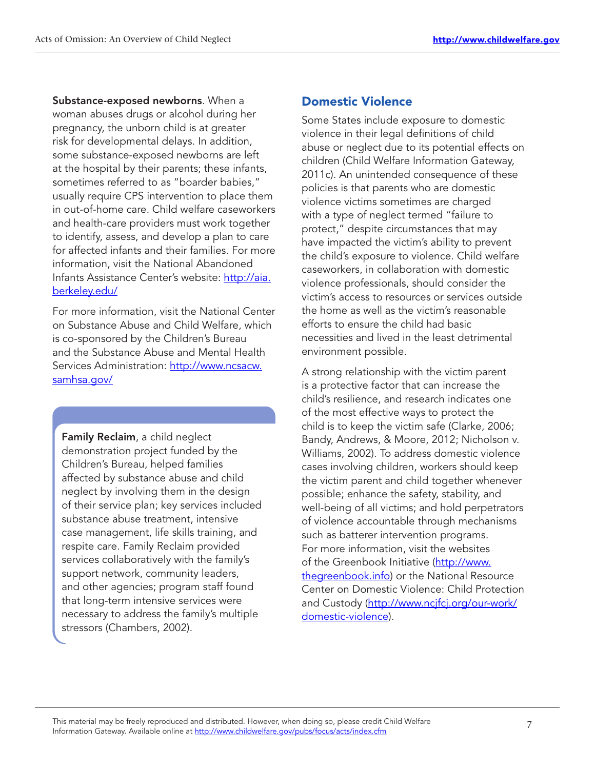Substance-exposed newborns. When a woman abuses drugs or alcohol during her pregnancy, the unborn child is at greater risk for developmental delays. In addition, some substance-exposed newborns are left at the hospital by their parents; these infants, sometimes referred to as "boarder babies," usually require CPS intervention to place them in out-of-home care. Child welfare caseworkers and health-care providers must work together to identify, assess, and develop a plan to care for affected infants and their families. For more information, visit the National Abandoned Infants Assistance Center's website: [http://aia.](http://aia.berkeley.edu/) [berkeley.edu/](http://aia.berkeley.edu/)

For more information, visit the National Center on Substance Abuse and Child Welfare, which is co-sponsored by the Children's Bureau and the Substance Abuse and Mental Health Services Administration: [http://www.ncsacw.](http://www.ncsacw.samhsa.gov/) [samhsa.gov/](http://www.ncsacw.samhsa.gov/)

Family Reclaim, a child neglect demonstration project funded by the Children's Bureau, helped families affected by substance abuse and child neglect by involving them in the design of their service plan; key services included substance abuse treatment, intensive case management, life skills training, and respite care. Family Reclaim provided services collaboratively with the family's support network, community leaders, and other agencies; program staff found that long-term intensive services were necessary to address the family's multiple stressors (Chambers, 2002).

#### Domestic Violence

Some States include exposure to domestic violence in their legal definitions of child abuse or neglect due to its potential effects on children (Child Welfare Information Gateway, 2011c). An unintended consequence of these policies is that parents who are domestic violence victims sometimes are charged with a type of neglect termed "failure to protect," despite circumstances that may have impacted the victim's ability to prevent the child's exposure to violence. Child welfare caseworkers, in collaboration with domestic violence professionals, should consider the victim's access to resources or services outside the home as well as the victim's reasonable efforts to ensure the child had basic necessities and lived in the least detrimental environment possible.

A strong relationship with the victim parent is a protective factor that can increase the child's resilience, and research indicates one of the most effective ways to protect the child is to keep the victim safe (Clarke, 2006; Bandy, Andrews, & Moore, 2012; Nicholson v. Williams, 2002). To address domestic violence cases involving children, workers should keep the victim parent and child together whenever possible; enhance the safety, stability, and well-being of all victims; and hold perpetrators of violence accountable through mechanisms such as batterer intervention programs. For more information, visit the websites of the Greenbook Initiative (http:/[/www.](http://www.thegreenbook.info) [thegreenbook.info\)](http://www.thegreenbook.info) or the National Resource Center on Domestic Violence: Child Protection and Custody (http:/[/www.ncjfcj.org/our-work/](http://www.ncjfcj.org/our-work/domestic-violence) [domestic-violence\)](http://www.ncjfcj.org/our-work/domestic-violence).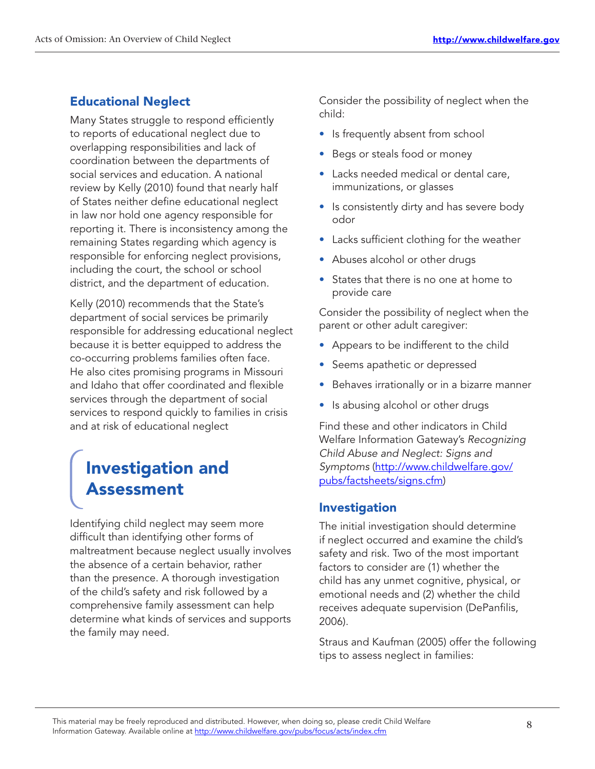#### Educational Neglect

Many States struggle to respond efficiently to reports of educational neglect due to overlapping responsibilities and lack of coordination between the departments of social services and education. A national review by Kelly (2010) found that nearly half of States neither define educational neglect in law nor hold one agency responsible for reporting it. There is inconsistency among the remaining States regarding which agency is responsible for enforcing neglect provisions, including the court, the school or school district, and the department of education.

Kelly (2010) recommends that the State's department of social services be primarily responsible for addressing educational neglect because it is better equipped to address the co-occurring problems families often face. He also cites promising programs in Missouri and Idaho that offer coordinated and flexible services through the department of social services to respond quickly to families in crisis and at risk of educational neglect

### Investigation and Assessment

Identifying child neglect may seem more difficult than identifying other forms of maltreatment because neglect usually involves the absence of a certain behavior, rather than the presence. A thorough investigation of the child's safety and risk followed by a comprehensive family assessment can help determine what kinds of services and supports the family may need.

Consider the possibility of neglect when the child:

- Is frequently absent from school
- Begs or steals food or money
- Lacks needed medical or dental care, immunizations, or glasses
- Is consistently dirty and has severe body odor
- Lacks sufficient clothing for the weather
- Abuses alcohol or other drugs
- States that there is no one at home to provide care

Consider the possibility of neglect when the parent or other adult caregiver:

- Appears to be indifferent to the child
- Seems apathetic or depressed
- Behaves irrationally or in a bizarre manner
- Is abusing alcohol or other drugs

Find these and other indicators in Child Welfare Information Gateway's Recognizing Child Abuse and Neglect: Signs and Symptoms [\(http://www.childwelfare.gov/](http://www.childwelfare.gov/pubs/factsheets/signs.cfm) [pubs/factsheets/signs.cfm](http://www.childwelfare.gov/pubs/factsheets/signs.cfm))

#### Investigation

The initial investigation should determine if neglect occurred and examine the child's safety and risk. Two of the most important factors to consider are (1) whether the child has any unmet cognitive, physical, or emotional needs and (2) whether the child receives adequate supervision (DePanfilis, 2006).

Straus and Kaufman (2005) offer the following tips to assess neglect in families: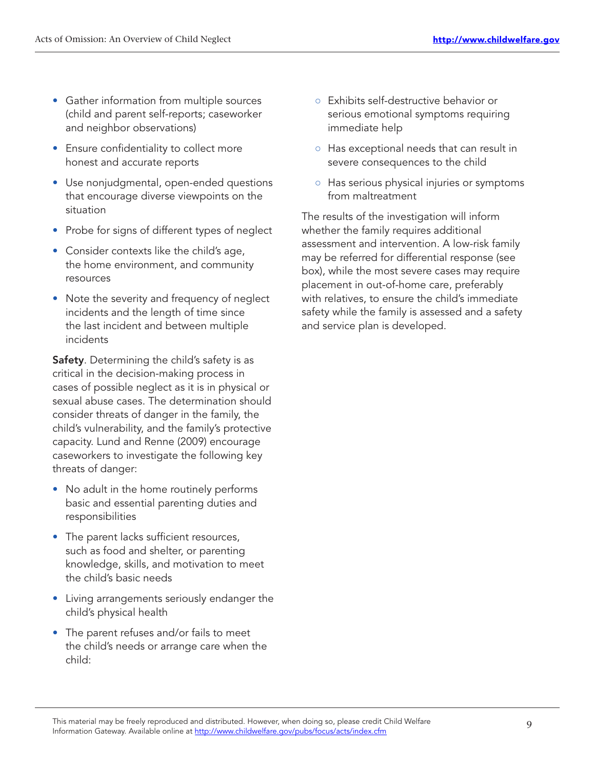- Gather information from multiple sources (child and parent self-reports; caseworker and neighbor observations)
- Ensure confidentiality to collect more honest and accurate reports
- Use nonjudgmental, open-ended questions that encourage diverse viewpoints on the situation
- Probe for signs of different types of neglect
- Consider contexts like the child's age, the home environment, and community resources
- Note the severity and frequency of neglect incidents and the length of time since the last incident and between multiple incidents

Safety. Determining the child's safety is as critical in the decision-making process in cases of possible neglect as it is in physical or sexual abuse cases. The determination should consider threats of danger in the family, the child's vulnerability, and the family's protective capacity. Lund and Renne (2009) encourage caseworkers to investigate the following key threats of danger:

- No adult in the home routinely performs basic and essential parenting duties and responsibilities
- The parent lacks sufficient resources, such as food and shelter, or parenting knowledge, skills, and motivation to meet the child's basic needs
- Living arrangements seriously endanger the child's physical health
- The parent refuses and/or fails to meet the child's needs or arrange care when the child:
- Exhibits self-destructive behavior or serious emotional symptoms requiring immediate help
- Has exceptional needs that can result in severe consequences to the child
- Has serious physical injuries or symptoms from maltreatment

The results of the investigation will inform whether the family requires additional assessment and intervention. A low-risk family may be referred for differential response (see box), while the most severe cases may require placement in out-of-home care, preferably with relatives, to ensure the child's immediate safety while the family is assessed and a safety and service plan is developed.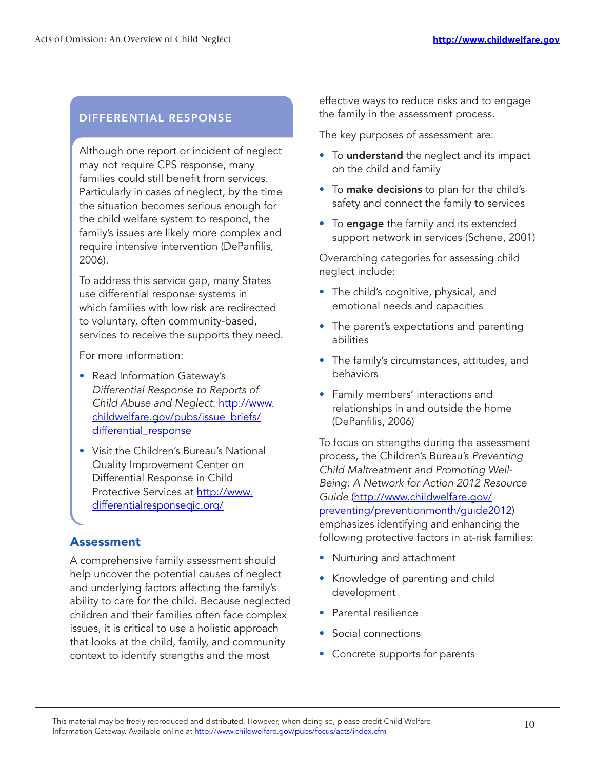#### DIFFERENTIAL RESPONSE

Although one report or incident of neglect may not require CPS response, many families could still benefit from services. Particularly in cases of neglect, by the time the situation becomes serious enough for the child welfare system to respond, the family's issues are likely more complex and require intensive intervention (DePanfilis, 2006).

To address this service gap, many States use differential response systems in which families with low risk are redirected to voluntary, often community-based, services to receive the supports they need.

For more information:

- Read Information Gateway's Differential Response to Reports of Child Abuse and Neglect: [http://www.](http://www.childwelfare.gov/pubs/issue_briefs/differential_response) [childwelfare.gov/pubs/issue\\_briefs/](http://www.childwelfare.gov/pubs/issue_briefs/differential_response) [differential\\_response](http://www.childwelfare.gov/pubs/issue_briefs/differential_response)
- Visit the Children's Bureau's National Quality Improvement Center on Differential Response in Child Protective Services at [http://www.](http://www.differentialresponseqic.org/) [differentialresponseqic.org/](http://www.differentialresponseqic.org/)

#### Assessment

A comprehensive family assessment should help uncover the potential causes of neglect and underlying factors affecting the family's ability to care for the child. Because neglected children and their families often face complex issues, it is critical to use a holistic approach that looks at the child, family, and community context to identify strengths and the most

effective ways to reduce risks and to engage the family in the assessment process.

The key purposes of assessment are:

- To understand the neglect and its impact on the child and family
- To make decisions to plan for the child's safety and connect the family to services
- To engage the family and its extended support network in services (Schene, 2001)

Overarching categories for assessing child neglect include:

- The child's cognitive, physical, and emotional needs and capacities
- The parent's expectations and parenting abilities
- The family's circumstances, attitudes, and behaviors
- Family members' interactions and relationships in and outside the home (DePanfilis, 2006)

To focus on strengths during the assessment process, the Children's Bureau's Preventing Child Maltreatment and Promoting Well-Being: A Network for Action 2012 Resource Guide ([http://www.childwelfare.gov/](http://www.childwelfare.gov/preventing/preventionmonth/guide2012) [preventing/preventionmonth/guide2012\)](http://www.childwelfare.gov/preventing/preventionmonth/guide2012) emphasizes identifying and enhancing the following protective factors in at-risk families:

- Nurturing and attachment
- Knowledge of parenting and child development
- Parental resilience
- Social connections
- Concrete supports for parents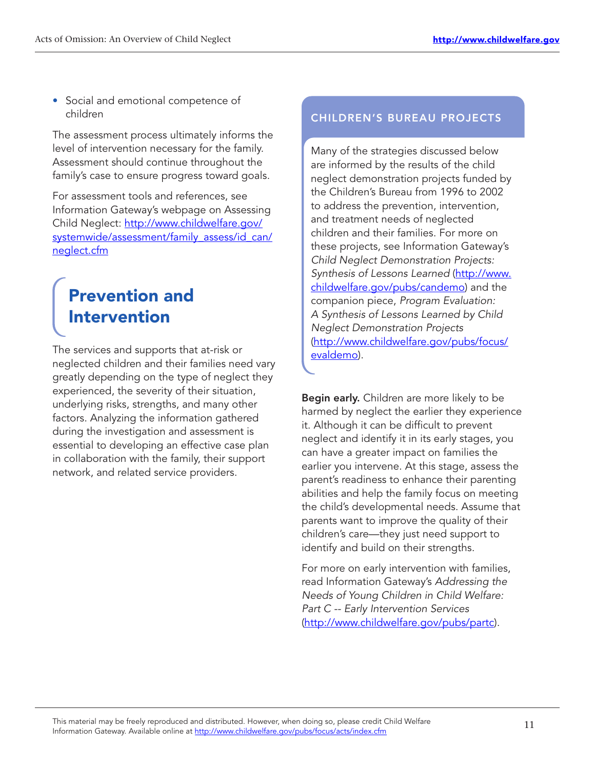• Social and emotional competence of children

The assessment process ultimately informs the level of intervention necessary for the family. Assessment should continue throughout the family's case to ensure progress toward goals.

For assessment tools and references, see Information Gateway's webpage on Assessing Child Neglect: [http://www.childwelfare.gov/](http://www.childwelfare.gov/systemwide/assessment/family_assess/id_can/neglect.cfm) [systemwide/assessment/family\\_assess/id\\_can/](http://www.childwelfare.gov/systemwide/assessment/family_assess/id_can/neglect.cfm) [neglect.cfm](http://www.childwelfare.gov/systemwide/assessment/family_assess/id_can/neglect.cfm)

### Prevention and Intervention

The services and supports that at-risk or neglected children and their families need vary greatly depending on the type of neglect they experienced, the severity of their situation, underlying risks, strengths, and many other factors. Analyzing the information gathered during the investigation and assessment is essential to developing an effective case plan in collaboration with the family, their support network, and related service providers.

#### CHILDREN'S BUREAU PROJECTS

Many of the strategies discussed below are informed by the results of the child neglect demonstration projects funded by the Children's Bureau from 1996 to 2002 to address the prevention, intervention, and treatment needs of neglected children and their families. For more on these projects, see Information Gateway's Child Neglect Demonstration Projects: Synthesis of Lessons Learned ([http://www.](http://www.childwelfare.gov/pubs/candemo) [childwelfare.gov/pubs/candemo](http://www.childwelfare.gov/pubs/candemo)) and the companion piece, Program Evaluation: A Synthesis of Lessons Learned by Child Neglect Demonstration Projects ([http://www.childwelfare.gov/pubs/focus/](http://www.childwelfare.gov/pubs/focus/evaldemo) [evaldemo](http://www.childwelfare.gov/pubs/focus/evaldemo)).

**Begin early.** Children are more likely to be harmed by neglect the earlier they experience it. Although it can be difficult to prevent neglect and identify it in its early stages, you can have a greater impact on families the earlier you intervene. At this stage, assess the parent's readiness to enhance their parenting abilities and help the family focus on meeting the child's developmental needs. Assume that parents want to improve the quality of their children's care—they just need support to identify and build on their strengths.

For more on early intervention with families, read Information Gateway's Addressing the Needs of Young Children in Child Welfare: Part C -- Early Intervention Services [\(http://www.childwelfare.gov/pubs/partc\)](http://www.childwelfare.gov/pubs/partc).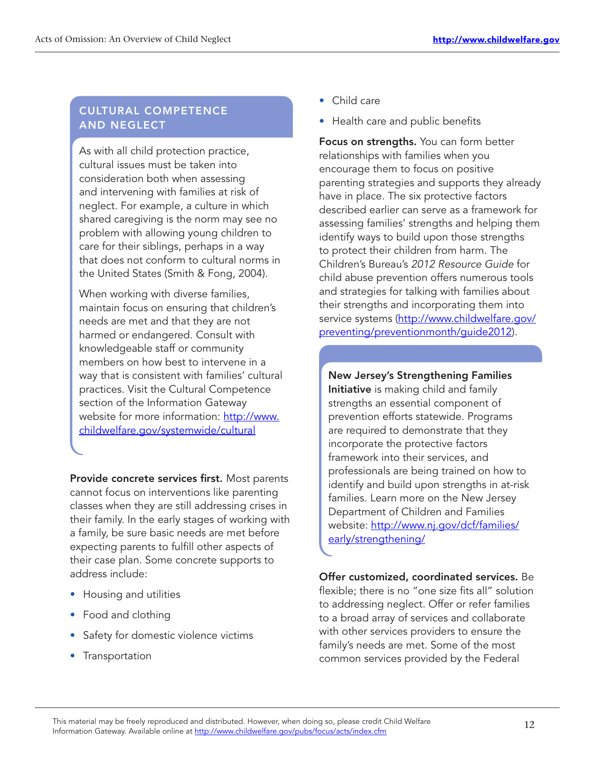#### CULTURAL COMPETENCE AND NEGLECT

As with all child protection practice, cultural issues must be taken into consideration both when assessing and intervening with families at risk of neglect. For example, a culture in which shared caregiving is the norm may see no problem with allowing young children to care for their siblings, perhaps in a way that does not conform to cultural norms in the United States (Smith & Fong, 2004).

When working with diverse families, maintain focus on ensuring that children's needs are met and that they are not harmed or endangered. Consult with knowledgeable staff or community members on how best to intervene in a way that is consistent with families' cultural practices. Visit the Cultural Competence section of the Information Gateway website for more information: [http://www.](http://www.childwelfare.gov/systemwide/cultural) [childwelfare.gov/systemwide/cultural](http://www.childwelfare.gov/systemwide/cultural)

Provide concrete services first. Most parents cannot focus on interventions like parenting classes when they are still addressing crises in their family. In the early stages of working with a family, be sure basic needs are met before expecting parents to fulfill other aspects of their case plan. Some concrete supports to address include:

- Housing and utilities
- Food and clothing
- Safety for domestic violence victims
- Transportation
- Child care
- Health care and public benefits

Focus on strengths. You can form better relationships with families when you encourage them to focus on positive parenting strategies and supports they already have in place. The six protective factors described earlier can serve as a framework for assessing families' strengths and helping them identify ways to build upon those strengths to protect their children from harm. The Children's Bureau's 2012 Resource Guide for child abuse prevention offers numerous tools and strategies for talking with families about their strengths and incorporating them into service systems ([http://www.childwelfare.gov/](http://www.childwelfare.gov/preventing/preventionmonth/guide2012) [preventing/preventionmonth/guide2012\)](http://www.childwelfare.gov/preventing/preventionmonth/guide2012).

New Jersey's Strengthening Families Initiative is making child and family strengths an essential component of prevention efforts statewide. Programs are required to demonstrate that they incorporate the protective factors framework into their services, and professionals are being trained on how to identify and build upon strengths in at-risk families. Learn more on the New Jersey Department of Children and Families website: [http://www.nj.gov/dcf/families/](http://www.nj.gov/dcf/families/early/strengthening/) [early/strengthening/](http://www.nj.gov/dcf/families/early/strengthening/)

Offer customized, coordinated services. Be flexible; there is no "one size fits all" solution to addressing neglect. Offer or refer families to a broad array of services and collaborate with other services providers to ensure the family's needs are met. Some of the most common services provided by the Federal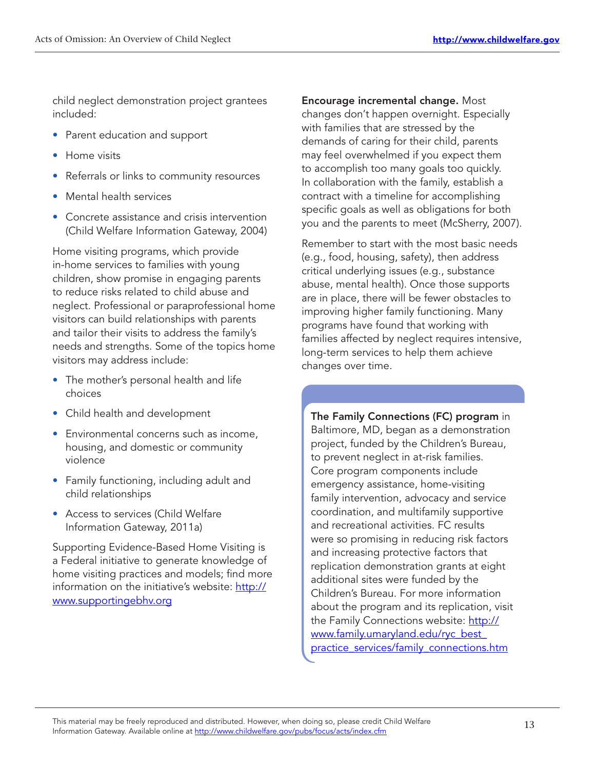child neglect demonstration project grantees included:

- Parent education and support
- Home visits
- Referrals or links to community resources
- Mental health services
- Concrete assistance and crisis intervention (Child Welfare Information Gateway, 2004)

Home visiting programs, which provide in-home services to families with young children, show promise in engaging parents to reduce risks related to child abuse and neglect. Professional or paraprofessional home visitors can build relationships with parents and tailor their visits to address the family's needs and strengths. Some of the topics home visitors may address include:

- The mother's personal health and life choices
- Child health and development
- Environmental concerns such as income, housing, and domestic or community violence
- Family functioning, including adult and child relationships
- Access to services (Child Welfare Information Gateway, 2011a)

Supporting Evidence-Based Home Visiting is a Federal initiative to generate knowledge of home visiting practices and models; find more information on the initiative's website: [http://](http://www.supportingebhv.org) [www.supportingebhv.org](http://www.supportingebhv.org)

Encourage incremental change. Most changes don't happen overnight. Especially with families that are stressed by the demands of caring for their child, parents may feel overwhelmed if you expect them to accomplish too many goals too quickly. In collaboration with the family, establish a contract with a timeline for accomplishing specific goals as well as obligations for both you and the parents to meet (McSherry, 2007).

Remember to start with the most basic needs (e.g., food, housing, safety), then address critical underlying issues (e.g., substance abuse, mental health). Once those supports are in place, there will be fewer obstacles to improving higher family functioning. Many programs have found that working with families affected by neglect requires intensive, long-term services to help them achieve changes over time.

The Family Connections (FC) program in Baltimore, MD, began as a demonstration project, funded by the Children's Bureau, to prevent neglect in at-risk families. Core program components include emergency assistance, home-visiting family intervention, advocacy and service coordination, and multifamily supportive and recreational activities. FC results were so promising in reducing risk factors and increasing protective factors that replication demonstration grants at eight additional sites were funded by the Children's Bureau. For more information about the program and its replication, visit the Family Connections website: [http://](http://www.family.umaryland.edu/ryc_best_practice_services/family_connections.htm) [www.family.umaryland.edu/ryc\\_best\\_](http://www.family.umaryland.edu/ryc_best_practice_services/family_connections.htm) [practice\\_services/family\\_connections.htm](http://www.family.umaryland.edu/ryc_best_practice_services/family_connections.htm)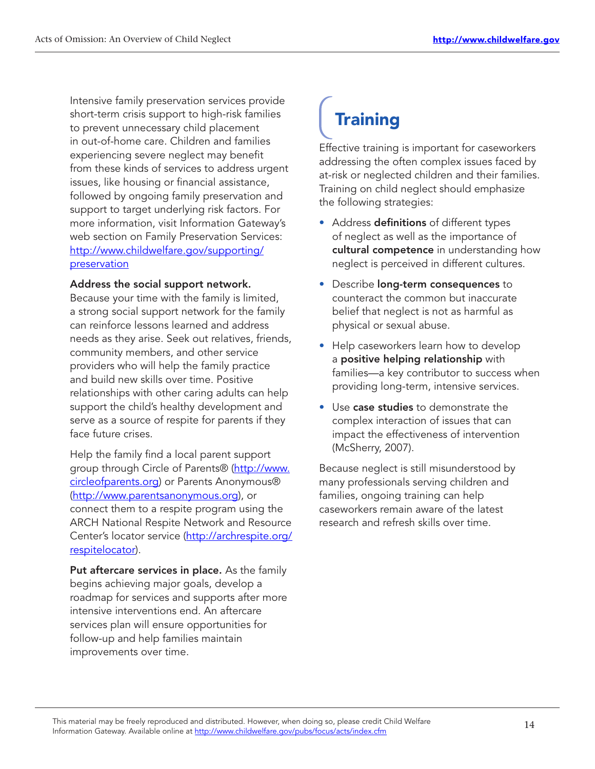Intensive family preservation services provide short-term crisis support to high-risk families to prevent unnecessary child placement in out-of-home care. Children and families experiencing severe neglect may benefit from these kinds of services to address urgent issues, like housing or financial assistance, followed by ongoing family preservation and support to target underlying risk factors. For more information, visit Information Gateway's web section on Family Preservation Services: [http://www.childwelfare.gov/supporting/](http://www.childwelfare.gov/supporting/preservation) **[preservation](http://www.childwelfare.gov/supporting/preservation)** 

#### Address the social support network.

Because your time with the family is limited, a strong social support network for the family can reinforce lessons learned and address needs as they arise. Seek out relatives, friends, community members, and other service providers who will help the family practice and build new skills over time. Positive relationships with other caring adults can help support the child's healthy development and serve as a source of respite for parents if they face future crises.

Help the family find a local parent support group through Circle of Parents® ([http://www.](http://www.circleofparents.org) [circleofparents.org](http://www.circleofparents.org)) or Parents Anonymous® (<http://www.parentsanonymous.org>), or connect them to a respite program using the ARCH National Respite Network and Resource Center's locator service ([http://archrespite.org/](http://archrespite.org/respitelocator) [respitelocator](http://archrespite.org/respitelocator)).

Put aftercare services in place. As the family begins achieving major goals, develop a roadmap for services and supports after more intensive interventions end. An aftercare services plan will ensure opportunities for follow-up and help families maintain improvements over time.

## **Training**

Effective training is important for caseworkers addressing the often complex issues faced by at-risk or neglected children and their families. Training on child neglect should emphasize the following strategies:

- Address definitions of different types of neglect as well as the importance of cultural competence in understanding how neglect is perceived in different cultures.
- Describe long-term consequences to counteract the common but inaccurate belief that neglect is not as harmful as physical or sexual abuse.
- Help caseworkers learn how to develop a positive helping relationship with families—a key contributor to success when providing long-term, intensive services.
- Use case studies to demonstrate the complex interaction of issues that can impact the effectiveness of intervention (McSherry, 2007).

Because neglect is still misunderstood by many professionals serving children and families, ongoing training can help caseworkers remain aware of the latest research and refresh skills over time.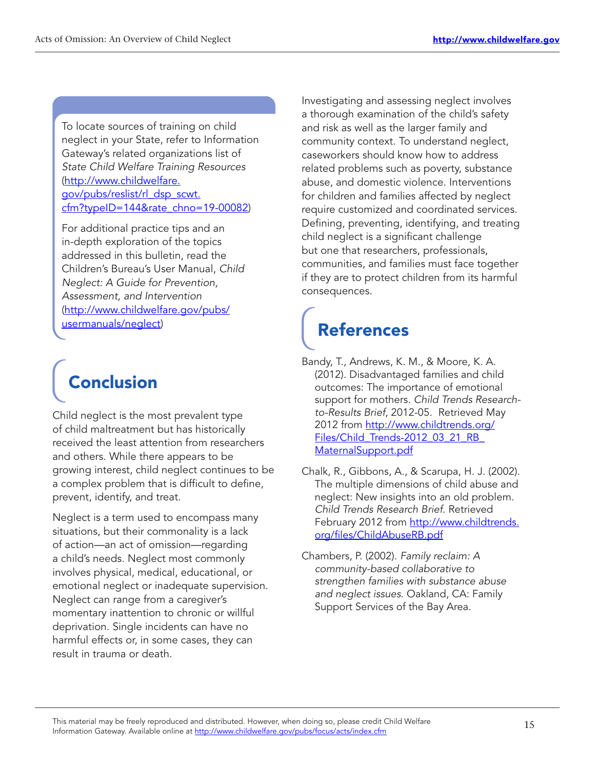To locate sources of training on child

neglect in your State, refer to Information Gateway's related organizations list of State Child Welfare Training Resources [\(http://www.childwelfare.](http://www.childwelfare.gov/pubs/reslist/rl_dsp_scwt.cfm?typeID=144&rate_chno=19-00082) [gov/pubs/reslist/rl\\_dsp\\_scwt.](http://www.childwelfare.gov/pubs/reslist/rl_dsp_scwt.cfm?typeID=144&rate_chno=19-00082) [cfm?typeID=144&rate\\_chno=19-00082](http://www.childwelfare.gov/pubs/reslist/rl_dsp_scwt.cfm?typeID=144&rate_chno=19-00082))

For additional practice tips and an in-depth exploration of the topics addressed in this bulletin, read the Children's Bureau's User Manual, Child Neglect: A Guide for Prevention, Assessment, and Intervention [\(http://www.childwelfare.gov/pubs/](http://www.childwelfare.gov/pubs/usermanuals/neglect) [usermanuals/neglect](http://www.childwelfare.gov/pubs/usermanuals/neglect))

Conclusion

Child neglect is the most prevalent type of child maltreatment but has historically received the least attention from researchers and others. While there appears to be growing interest, child neglect continues to be a complex problem that is difficult to define, prevent, identify, and treat.

Neglect is a term used to encompass many situations, but their commonality is a lack of action—an act of omission—regarding a child's needs. Neglect most commonly involves physical, medical, educational, or emotional neglect or inadequate supervision. Neglect can range from a caregiver's momentary inattention to chronic or willful deprivation. Single incidents can have no harmful effects or, in some cases, they can result in trauma or death.

Investigating and assessing neglect involves a thorough examination of the child's safety and risk as well as the larger family and community context. To understand neglect, caseworkers should know how to address related problems such as poverty, substance abuse, and domestic violence. Interventions for children and families affected by neglect require customized and coordinated services. Defining, preventing, identifying, and treating child neglect is a significant challenge but one that researchers, professionals, communities, and families must face together if they are to protect children from its harmful consequences.

### References

- Bandy, T., Andrews, K. M., & Moore, K. A. (2012). Disadvantaged families and child outcomes: The importance of emotional support for mothers. Child Trends Researchto-Results Brief, 2012-05. Retrieved May 2012 from [http://www.childtrends.org/](http://www.childtrends.org/Files/Child_Trends-2012_03_21_RB_MaternalSupport.pdf) Files/Child\_Trends-2012\_03\_21\_RB [MaternalSupport.pdf](http://www.childtrends.org/Files/Child_Trends-2012_03_21_RB_MaternalSupport.pdf)
- Chalk, R., Gibbons, A., & Scarupa, H. J. (2002). The multiple dimensions of child abuse and neglect: New insights into an old problem. Child Trends Research Brief. Retrieved February 2012 from [http://www.childtrends.](http://www.childtrends.org/files/ChildAbuseRB.pdf) [org/files/ChildAbuseRB.pdf](http://www.childtrends.org/files/ChildAbuseRB.pdf)
- Chambers, P. (2002). Family reclaim: A community-based collaborative to strengthen families with substance abuse and neglect issues. Oakland, CA: Family Support Services of the Bay Area.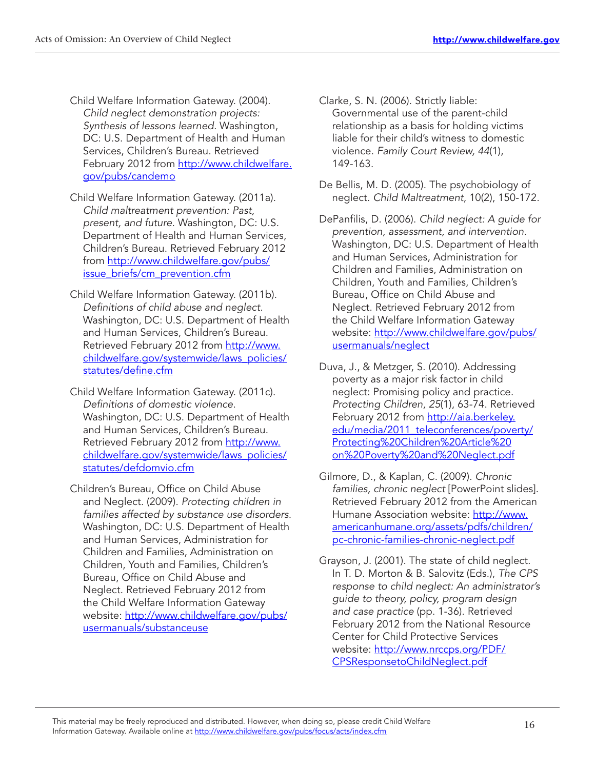Child Welfare Information Gateway. (2004). Child neglect demonstration projects: Synthesis of lessons learned. Washington, DC: U.S. Department of Health and Human Services, Children's Bureau. Retrieved February 2012 from [http://www.childwelfare.](http://www.childwelfare.gov/pubs/candemo) [gov/pubs/candemo](http://www.childwelfare.gov/pubs/candemo)

Child Welfare Information Gateway. (2011a). Child maltreatment prevention: Past, present, and future. Washington, DC: U.S. Department of Health and Human Services, Children's Bureau. Retrieved February 2012 from [http://www.childwelfare.gov/pubs/](http://www.childwelfare.gov/pubs/issue_briefs/cm_prevention.cfm) issue briefs/cm\_prevention.cfm

Child Welfare Information Gateway. (2011b). Definitions of child abuse and neglect. Washington, DC: U.S. Department of Health and Human Services, Children's Bureau. Retrieved February 2012 from [http://www.](http://www.childwelfare.gov/systemwide/laws_policies/statutes/define.cfm) [childwelfare.gov/systemwide/laws\\_policies/](http://www.childwelfare.gov/systemwide/laws_policies/statutes/define.cfm) [statutes/define.cfm](http://www.childwelfare.gov/systemwide/laws_policies/statutes/define.cfm)

Child Welfare Information Gateway. (2011c). Definitions of domestic violence. Washington, DC: U.S. Department of Health and Human Services, Children's Bureau. Retrieved February 2012 from [http://www.](http://www.childwelfare.gov/systemwide/laws_policies/statutes/defdomvio.cfm) [childwelfare.gov/systemwide/laws\\_policies/](http://www.childwelfare.gov/systemwide/laws_policies/statutes/defdomvio.cfm) [statutes/defdomvio.cfm](http://www.childwelfare.gov/systemwide/laws_policies/statutes/defdomvio.cfm)

Children's Bureau, Office on Child Abuse and Neglect. (2009). Protecting children in families affected by substance use disorders. Washington, DC: U.S. Department of Health and Human Services, Administration for Children and Families, Administration on Children, Youth and Families, Children's Bureau, Office on Child Abuse and Neglect. Retrieved February 2012 from the Child Welfare Information Gateway website: [http://www.childwelfare.gov/pubs/](http://www.childwelfare.gov/pubs/usermanuals/substanceuse) [usermanuals/substanceuse](http://www.childwelfare.gov/pubs/usermanuals/substanceuse)

Clarke, S. N. (2006). Strictly liable: Governmental use of the parent-child relationship as a basis for holding victims liable for their child's witness to domestic violence. Family Court Review, 44(1), 149-163.

De Bellis, M. D. (2005). The psychobiology of neglect. Child Maltreatment, 10(2), 150-172.

DePanfilis, D. (2006). Child neglect: A guide for prevention, assessment, and intervention. Washington, DC: U.S. Department of Health and Human Services, Administration for Children and Families, Administration on Children, Youth and Families, Children's Bureau, Office on Child Abuse and Neglect. Retrieved February 2012 from the Child Welfare Information Gateway website: [http://www.childwelfare.gov/pubs/](http://www.childwelfare.gov/pubs/usermanuals/neglect) [usermanuals/neglect](http://www.childwelfare.gov/pubs/usermanuals/neglect)

Duva, J., & Metzger, S. (2010). Addressing poverty as a major risk factor in child neglect: Promising policy and practice. Protecting Children, 25(1), 63-74. Retrieved February 2012 from [http://aia.berkeley.](http://aia.berkeley.edu/media/2011_teleconferences/poverty/Protecting%20Children%20Article%20on%20Poverty%20and%20Neglect.pdf) [edu/media/2011\\_teleconferences/poverty/](http://aia.berkeley.edu/media/2011_teleconferences/poverty/Protecting%20Children%20Article%20on%20Poverty%20and%20Neglect.pdf) [Protecting%20Children%20Article%20](http://aia.berkeley.edu/media/2011_teleconferences/poverty/Protecting%20Children%20Article%20on%20Poverty%20and%20Neglect.pdf) [on%20Poverty%20and%20Neglect.pdf](http://aia.berkeley.edu/media/2011_teleconferences/poverty/Protecting%20Children%20Article%20on%20Poverty%20and%20Neglect.pdf)

Gilmore, D., & Kaplan, C. (2009). Chronic families, chronic neglect [PowerPoint slides]. Retrieved February 2012 from the American Humane Association website: [http://www.](http://www.americanhumane.org/assets/pdfs/children/pc-chronic-families-chronic-neglect.pdf) [americanhumane.org/assets/pdfs/children/](http://www.americanhumane.org/assets/pdfs/children/pc-chronic-families-chronic-neglect.pdf) [pc-chronic-families-chronic-neglect.pdf](http://www.americanhumane.org/assets/pdfs/children/pc-chronic-families-chronic-neglect.pdf)

Grayson, J. (2001). The state of child neglect. In T. D. Morton & B. Salovitz (Eds.), The CPS response to child neglect: An administrator's guide to theory, policy, program design and case practice (pp. 1-36). Retrieved February 2012 from the National Resource Center for Child Protective Services website: [http://www.nrccps.org/PDF/](http://www.nrccps.org/PDF/CPSResponsetoChildNeglect.pdf) [CPSResponsetoChildNeglect.pdf](http://www.nrccps.org/PDF/CPSResponsetoChildNeglect.pdf)